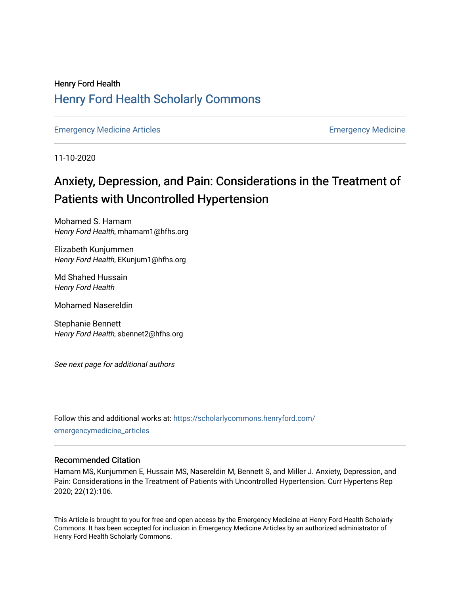## Henry Ford Health [Henry Ford Health Scholarly Commons](https://scholarlycommons.henryford.com/)

[Emergency Medicine Articles](https://scholarlycommons.henryford.com/emergencymedicine_articles) **Emergency Medicine** 

11-10-2020

# Anxiety, Depression, and Pain: Considerations in the Treatment of Patients with Uncontrolled Hypertension

Mohamed S. Hamam Henry Ford Health, mhamam1@hfhs.org

Elizabeth Kunjummen Henry Ford Health, EKunjum1@hfhs.org

Md Shahed Hussain Henry Ford Health

Mohamed Nasereldin

Stephanie Bennett Henry Ford Health, sbennet2@hfhs.org

See next page for additional authors

Follow this and additional works at: [https://scholarlycommons.henryford.com/](https://scholarlycommons.henryford.com/emergencymedicine_articles?utm_source=scholarlycommons.henryford.com%2Femergencymedicine_articles%2F208&utm_medium=PDF&utm_campaign=PDFCoverPages) [emergencymedicine\\_articles](https://scholarlycommons.henryford.com/emergencymedicine_articles?utm_source=scholarlycommons.henryford.com%2Femergencymedicine_articles%2F208&utm_medium=PDF&utm_campaign=PDFCoverPages) 

### Recommended Citation

Hamam MS, Kunjummen E, Hussain MS, Nasereldin M, Bennett S, and Miller J. Anxiety, Depression, and Pain: Considerations in the Treatment of Patients with Uncontrolled Hypertension. Curr Hypertens Rep 2020; 22(12):106.

This Article is brought to you for free and open access by the Emergency Medicine at Henry Ford Health Scholarly Commons. It has been accepted for inclusion in Emergency Medicine Articles by an authorized administrator of Henry Ford Health Scholarly Commons.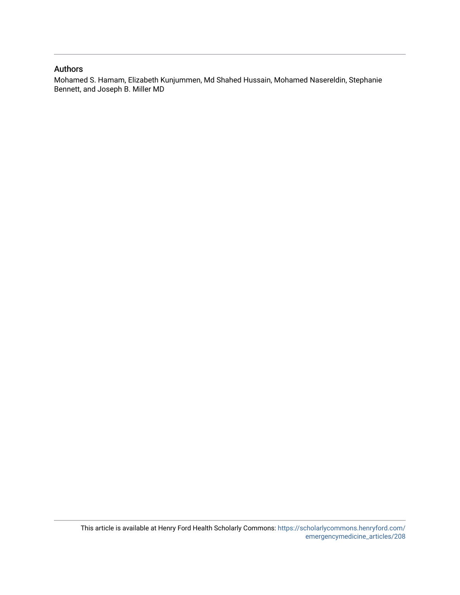## Authors

Mohamed S. Hamam, Elizabeth Kunjummen, Md Shahed Hussain, Mohamed Nasereldin, Stephanie Bennett, and Joseph B. Miller MD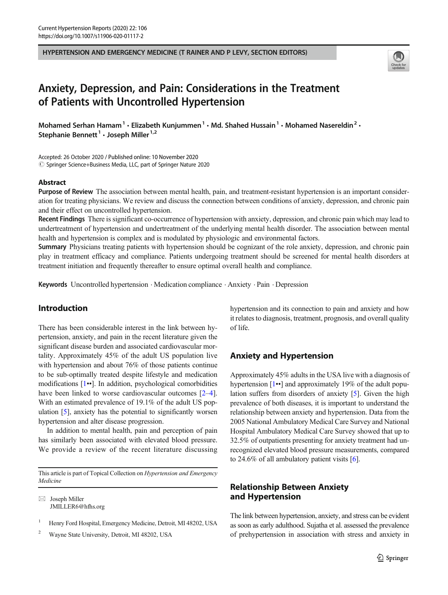HYPERTENSION AND EMERGENCY MEDICINE (T RAINER AND P LEVY, SECTION EDITORS)



## Anxiety, Depression, and Pain: Considerations in the Treatment of Patients with Uncontrolled Hypertension

Mohamed Serhan Hamam<sup>1</sup> • Elizabeth Kunjummen<sup>1</sup> • Md. Shahed Hussain<sup>1</sup> • Mohamed Nasereldin<sup>2</sup> • Stephanie Bennett<sup>1</sup> · Joseph Miller<sup>1,2</sup>

Accepted: 26 October 2020 / Published online: 10 November 2020  $\odot$  Springer Science+Business Media, LLC, part of Springer Nature 2020

#### Abstract

Purpose of Review The association between mental health, pain, and treatment-resistant hypertension is an important consideration for treating physicians. We review and discuss the connection between conditions of anxiety, depression, and chronic pain and their effect on uncontrolled hypertension.

Recent Findings There is significant co-occurrence of hypertension with anxiety, depression, and chronic pain which may lead to undertreatment of hypertension and undertreatment of the underlying mental health disorder. The association between mental health and hypertension is complex and is modulated by physiologic and environmental factors.

Summary Physicians treating patients with hypertension should be cognizant of the role anxiety, depression, and chronic pain play in treatment efficacy and compliance. Patients undergoing treatment should be screened for mental health disorders at treatment initiation and frequently thereafter to ensure optimal overall health and compliance.

Keywords Uncontrolled hypertension . Medication compliance . Anxiety . Pain . Depression

## Introduction

There has been considerable interest in the link between hypertension, anxiety, and pain in the recent literature given the significant disease burden and associated cardiovascular mortality. Approximately 45% of the adult US population live with hypertension and about 76% of those patients continue to be sub-optimally treated despite lifestyle and medication modifications [\[1](#page-7-0)••]. In addition, psychological comorbidities have been linked to worse cardiovascular outcomes [[2](#page-7-0)–[4](#page-7-0)]. With an estimated prevalence of 19.1% of the adult US population [\[5](#page-7-0)], anxiety has the potential to significantly worsen hypertension and alter disease progression.

In addition to mental health, pain and perception of pain has similarly been associated with elevated blood pressure. We provide a review of the recent literature discussing

This article is part of Topical Collection on Hypertension and Emergency Medicine

 $\boxtimes$  Joseph Miller [JMILLER6@hfhs.org](mailto:JMILLER6@hfhs.org)

<sup>1</sup> Henry Ford Hospital, Emergency Medicine, Detroit, MI 48202, USA

<sup>2</sup> Wayne State University, Detroit, MI 48202, USA

hypertension and its connection to pain and anxiety and how it relates to diagnosis, treatment, prognosis, and overall quality of life.

## Anxiety and Hypertension

Approximately 45% adults in the USA live with a diagnosis of hypertension [[1](#page-7-0)••] and approximately 19% of the adult population suffers from disorders of anxiety [[5\]](#page-7-0). Given the high prevalence of both diseases, it is important to understand the relationship between anxiety and hypertension. Data from the 2005 National Ambulatory Medical Care Survey and National Hospital Ambulatory Medical Care Survey showed that up to 32.5% of outpatients presenting for anxiety treatment had unrecognized elevated blood pressure measurements, compared to 24.6% of all ambulatory patient visits [[6](#page-7-0)].

## Relationship Between Anxiety and Hypertension

The link between hypertension, anxiety, and stress can be evident as soon as early adulthood. Sujatha et al. assessed the prevalence of prehypertension in association with stress and anxiety in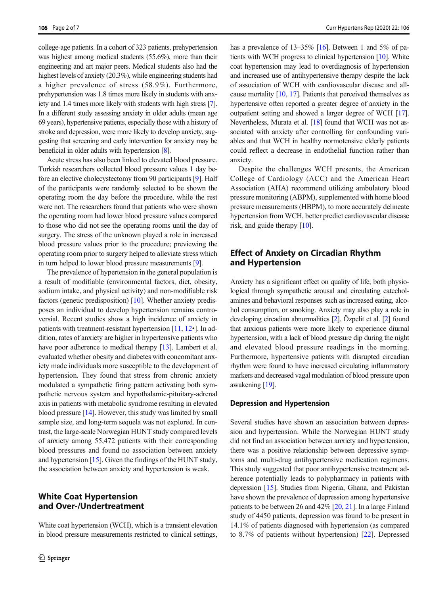college-age patients. In a cohort of 323 patients, prehypertension was highest among medical students (55.6%), more than their engineering and art major peers. Medical students also had the highest levels of anxiety (20.3%), while engineering students had a higher prevalence of stress (58.9%). Furthermore, prehypertension was 1.8 times more likely in students with anxiety and 1.4 times more likely with students with high stress [\[7\]](#page-7-0). In a different study assessing anxiety in older adults (mean age 69 years), hypertensive patients, especially those with a history of stroke and depression, were more likely to develop anxiety, suggesting that screening and early intervention for anxiety may be beneficial in older adults with hypertension [[8](#page-7-0)].

Acute stress has also been linked to elevated blood pressure. Turkish researchers collected blood pressure values 1 day before an elective cholecystectomy from 90 participants [[9](#page-7-0)]. Half of the participants were randomly selected to be shown the operating room the day before the procedure, while the rest were not. The researchers found that patients who were shown the operating room had lower blood pressure values compared to those who did not see the operating rooms until the day of surgery. The stress of the unknown played a role in increased blood pressure values prior to the procedure; previewing the operating room prior to surgery helped to alleviate stress which in turn helped to lower blood pressure measurements [\[9\]](#page-7-0).

The prevalence of hypertension in the general population is a result of modifiable (environmental factors, diet, obesity, sodium intake, and physical activity) and non-modifiable risk factors (genetic predisposition) [\[10\]](#page-7-0). Whether anxiety predisposes an individual to develop hypertension remains controversial. Recent studies show a high incidence of anxiety in patients with treatment-resistant hypertension [\[11](#page-7-0), [12](#page-7-0)•]. In addition, rates of anxiety are higher in hypertensive patients who have poor adherence to medical therapy [\[13](#page-7-0)]. Lambert et al. evaluated whether obesity and diabetes with concomitant anxiety made individuals more susceptible to the development of hypertension. They found that stress from chronic anxiety modulated a sympathetic firing pattern activating both sympathetic nervous system and hypothalamic-pituitary-adrenal axis in patients with metabolic syndrome resulting in elevated blood pressure [[14\]](#page-7-0). However, this study was limited by small sample size, and long-term sequela was not explored. In contrast, the large-scale Norwegian HUNT study compared levels of anxiety among 55,472 patients with their corresponding blood pressures and found no association between anxiety and hypertension [\[15\]](#page-7-0). Given the findings of the HUNT study, the association between anxiety and hypertension is weak.

## White Coat Hypertension and Over-/Undertreatment

White coat hypertension (WCH), which is a transient elevation in blood pressure measurements restricted to clinical settings, has a prevalence of 13–35% [\[16\]](#page-7-0). Between 1 and 5% of patients with WCH progress to clinical hypertension [\[10\]](#page-7-0). White coat hypertension may lead to overdiagnosis of hypertension and increased use of antihypertensive therapy despite the lack of association of WCH with cardiovascular disease and allcause mortality [\[10,](#page-7-0) [17](#page-7-0)]. Patients that perceived themselves as hypertensive often reported a greater degree of anxiety in the outpatient setting and showed a larger degree of WCH [\[17\]](#page-7-0). Nevertheless, Murata et al. [\[18](#page-7-0)] found that WCH was not associated with anxiety after controlling for confounding variables and that WCH in healthy normotensive elderly patients could reflect a decrease in endothelial function rather than anxiety.

Despite the challenges WCH presents, the American College of Cardiology (ACC) and the American Heart Association (AHA) recommend utilizing ambulatory blood pressure monitoring (ABPM), supplemented with home blood pressure measurements (HBPM), to more accurately delineate hypertension from WCH, better predict cardiovascular disease risk, and guide therapy [\[10](#page-7-0)].

## Effect of Anxiety on Circadian Rhythm and Hypertension

Anxiety has a significant effect on quality of life, both physiological through sympathetic arousal and circulating catecholamines and behavioral responses such as increased eating, alcohol consumption, or smoking. Anxiety may also play a role in developing circadian abnormalities [\[2\]](#page-7-0). Özpelit et al. [\[2](#page-7-0)] found that anxious patients were more likely to experience diurnal hypertension, with a lack of blood pressure dip during the night and elevated blood pressure readings in the morning. Furthermore, hypertensive patients with disrupted circadian rhythm were found to have increased circulating inflammatory markers and decreased vagal modulation of blood pressure upon awakening [[19\]](#page-7-0).

#### Depression and Hypertension

Several studies have shown an association between depression and hypertension. While the Norwegian HUNT study did not find an association between anxiety and hypertension, there was a positive relationship between depressive symptoms and multi-drug antihypertensive medication regimens. This study suggested that poor antihypertensive treatment adherence potentially leads to polypharmacy in patients with depression [\[15\]](#page-7-0). Studies from Nigeria, Ghana, and Pakistan have shown the prevalence of depression among hypertensive patients to be between 26 and 42% [[20,](#page-7-0) [21](#page-7-0)]. In a large Finland study of 4450 patients, depression was found to be present in 14.1% of patients diagnosed with hypertension (as compared to 8.7% of patients without hypertension) [[22\]](#page-7-0). Depressed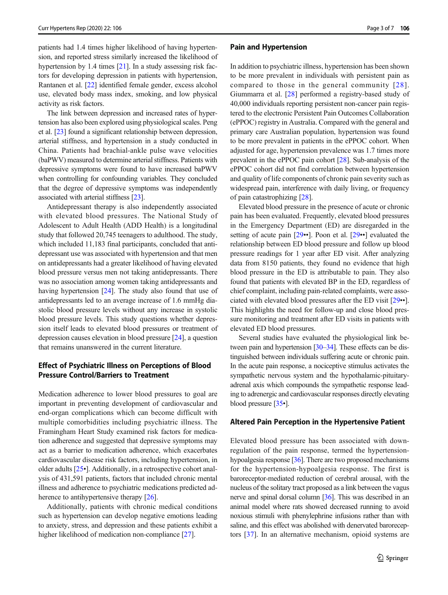patients had 1.4 times higher likelihood of having hypertension, and reported stress similarly increased the likelihood of hypertension by 1.4 times [\[21](#page-7-0)]. In a study assessing risk factors for developing depression in patients with hypertension, Rantanen et al. [\[22\]](#page-7-0) identified female gender, excess alcohol use, elevated body mass index, smoking, and low physical activity as risk factors.

The link between depression and increased rates of hypertension has also been explored using physiological scales. Peng et al. [\[23\]](#page-7-0) found a significant relationship between depression, arterial stiffness, and hypertension in a study conducted in China. Patients had brachial-ankle pulse wave velocities (baPWV) measured to determine arterial stiffness. Patients with depressive symptoms were found to have increased baPWV when controlling for confounding variables. They concluded that the degree of depressive symptoms was independently associated with arterial stiffness [[23](#page-7-0)].

Antidepressant therapy is also independently associated with elevated blood pressures. The National Study of Adolescent to Adult Health (ADD Health) is a longitudinal study that followed 20,745 teenagers to adulthood. The study, which included 11,183 final participants, concluded that antidepressant use was associated with hypertension and that men on antidepressants had a greater likelihood of having elevated blood pressure versus men not taking antidepressants. There was no association among women taking antidepressants and having hypertension [\[24\]](#page-7-0). The study also found that use of antidepressants led to an average increase of 1.6 mmHg diastolic blood pressure levels without any increase in systolic blood pressure levels. This study questions whether depression itself leads to elevated blood pressures or treatment of depression causes elevation in blood pressure [\[24\]](#page-7-0), a question that remains unanswered in the current literature.

## Effect of Psychiatric Illness on Perceptions of Blood Pressure Control/Barriers to Treatment

Medication adherence to lower blood pressures to goal are important in preventing development of cardiovascular and end-organ complications which can become difficult with multiple comorbidities including psychiatric illness. The Framingham Heart Study examined risk factors for medication adherence and suggested that depressive symptoms may act as a barrier to medication adherence, which exacerbates cardiovascular disease risk factors, including hypertension, in older adults [\[25](#page-7-0)•]. Additionally, in a retrospective cohort analysis of 431,591 patients, factors that included chronic mental illness and adherence to psychiatric medications predicted ad-herence to antihypertensive therapy [\[26\]](#page-7-0).

Additionally, patients with chronic medical conditions such as hypertension can develop negative emotions leading to anxiety, stress, and depression and these patients exhibit a higher likelihood of medication non-compliance [[27](#page-7-0)].

#### Pain and Hypertension

In addition to psychiatric illness, hypertension has been shown to be more prevalent in individuals with persistent pain as compared to those in the general community [[28\]](#page-7-0). Giummarra et al. [\[28](#page-7-0)] performed a registry-based study of 40,000 individuals reporting persistent non-cancer pain registered to the electronic Persistent Pain Outcomes Collaboration (ePPOC) registry in Australia. Compared with the general and primary care Australian population, hypertension was found to be more prevalent in patients in the ePPOC cohort. When adjusted for age, hypertension prevalence was 1.7 times more prevalent in the ePPOC pain cohort [\[28](#page-7-0)]. Sub-analysis of the ePPOC cohort did not find correlation between hypertension and quality of life components of chronic pain severity such as widespread pain, interference with daily living, or frequency of pain catastrophizing [[28\]](#page-7-0).

Elevated blood pressure in the presence of acute or chronic pain has been evaluated. Frequently, elevated blood pressures in the Emergency Department (ED) are disregarded in the setting of acute pain [[29](#page-7-0)••]. Poon et al. [[29](#page-7-0)••] evaluated the relationship between ED blood pressure and follow up blood pressure readings for 1 year after ED visit. After analyzing data from 8150 patients, they found no evidence that high blood pressure in the ED is attributable to pain. They also found that patients with elevated BP in the ED, regardless of chief complaint, including pain-related complaints, were associated with elevated blood pressures after the ED visit [\[29](#page-7-0)••]. This highlights the need for follow-up and close blood pressure monitoring and treatment after ED visits in patients with elevated ED blood pressures.

Several studies have evaluated the physiological link be-tween pain and hypertension [\[30](#page-8-0)–[34](#page-8-0)]. These effects can be distinguished between individuals suffering acute or chronic pain. In the acute pain response, a nociceptive stimulus activates the sympathetic nervous system and the hypothalamic-pituitaryadrenal axis which compounds the sympathetic response leading to adrenergic and cardiovascular responses directly elevating blood pressure [\[35](#page-8-0)•].

#### Altered Pain Perception in the Hypertensive Patient

Elevated blood pressure has been associated with downregulation of the pain response, termed the hypertensionhypoalgesia response [[36](#page-8-0)]. There are two proposed mechanisms for the hypertension-hypoalgesia response. The first is baroreceptor-mediated reduction of cerebral arousal, with the nucleus of the solitary tract proposed as a link between the vagus nerve and spinal dorsal column [\[36\]](#page-8-0). This was described in an animal model where rats showed decreased running to avoid noxious stimuli with phenylephrine infusions rather than with saline, and this effect was abolished with denervated baroreceptors [[37\]](#page-8-0). In an alternative mechanism, opioid systems are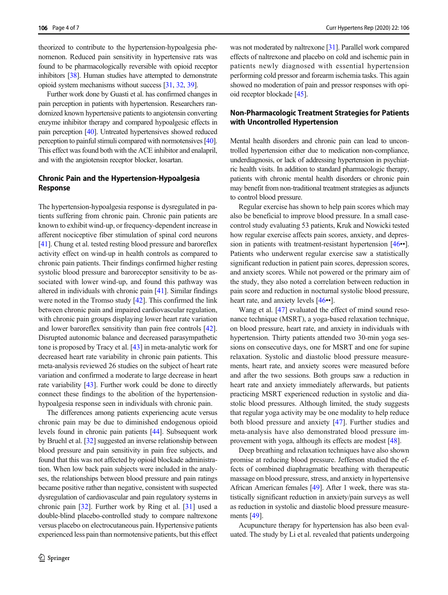theorized to contribute to the hypertension-hypoalgesia phenomenon. Reduced pain sensitivity in hypertensive rats was found to be pharmacologically reversible with opioid receptor inhibitors [[38](#page-8-0)]. Human studies have attempted to demonstrate opioid system mechanisms without success [\[31,](#page-8-0) [32,](#page-8-0) [39](#page-8-0)].

Further work done by Guasti et al. has confirmed changes in pain perception in patients with hypertension. Researchers randomized known hypertensive patients to angiotensin converting enzyme inhibitor therapy and compared hypoalgesic effects in pain perception [\[40](#page-8-0)]. Untreated hypertensives showed reduced perception to painful stimuli compared with normotensives [\[40\]](#page-8-0). This effect was found both with the ACE inhibitor and enalapril, and with the angiotensin receptor blocker, losartan.

## Chronic Pain and the Hypertension-Hypoalgesia Response

The hypertension-hypoalgesia response is dysregulated in patients suffering from chronic pain. Chronic pain patients are known to exhibit wind-up, or frequency-dependent increase in afferent nociceptive fiber stimulation of spinal cord neurons [\[41\]](#page-8-0). Chung et al. tested resting blood pressure and baroreflex activity effect on wind-up in health controls as compared to chronic pain patients. Their findings confirmed higher resting systolic blood pressure and baroreceptor sensitivity to be associated with lower wind-up, and found this pathway was altered in individuals with chronic pain [[41](#page-8-0)]. Similar findings were noted in the Tromso study [\[42\]](#page-8-0). This confirmed the link between chronic pain and impaired cardiovascular regulation, with chronic pain groups displaying lower heart rate variation and lower baroreflex sensitivity than pain free controls [[42\]](#page-8-0). Disrupted autonomic balance and decreased parasympathetic tone is proposed by Tracy et al. [\[43](#page-8-0)] in meta-analytic work for decreased heart rate variability in chronic pain patients. This meta-analysis reviewed 26 studies on the subject of heart rate variation and confirmed a moderate to large decrease in heart rate variability [[43](#page-8-0)]. Further work could be done to directly connect these findings to the abolition of the hypertensionhypoalgesia response seen in individuals with chronic pain.

The differences among patients experiencing acute versus chronic pain may be due to diminished endogenous opioid levels found in chronic pain patients [[44](#page-8-0)]. Subsequent work by Bruehl et al. [[32](#page-8-0)] suggested an inverse relationship between blood pressure and pain sensitivity in pain free subjects, and found that this was not affected by opioid blockade administration. When low back pain subjects were included in the analyses, the relationships between blood pressure and pain ratings became positive rather than negative, consistent with suspected dysregulation of cardiovascular and pain regulatory systems in chronic pain [[32](#page-8-0)]. Further work by Ring et al. [\[31](#page-8-0)] used a double-blind placebo-controlled study to compare naltrexone versus placebo on electrocutaneous pain. Hypertensive patients experienced less pain than normotensive patients, but this effect

was not moderated by naltrexone [[31](#page-8-0)]. Parallel work compared effects of naltrexone and placebo on cold and ischemic pain in patients newly diagnosed with essential hypertension performing cold pressor and forearm ischemia tasks. This again showed no moderation of pain and pressor responses with opioid receptor blockade [[45](#page-8-0)].

#### Non-Pharmacologic Treatment Strategies for Patients with Uncontrolled Hypertension

Mental health disorders and chronic pain can lead to uncontrolled hypertension either due to medication non-compliance, underdiagnosis, or lack of addressing hypertension in psychiatric health visits. In addition to standard pharmacologic therapy, patients with chronic mental health disorders or chronic pain may benefit from non-traditional treatment strategies as adjuncts to control blood pressure.

Regular exercise has shown to help pain scores which may also be beneficial to improve blood pressure. In a small casecontrol study evaluating 53 patients, Kruk and Nowicki tested how regular exercise affects pain scores, anxiety, and depres-sion in patients with treatment-resistant hypertension [\[46](#page-8-0)••]. Patients who underwent regular exercise saw a statistically significant reduction in patient pain scores, depression scores, and anxiety scores. While not powered or the primary aim of the study, they also noted a correlation between reduction in pain score and reduction in nocturnal systolic blood pressure, heart rate, and anxiety levels [\[46](#page-8-0)••].

Wang et al. [\[47\]](#page-8-0) evaluated the effect of mind sound resonance technique (MSRT), a yoga-based relaxation technique, on blood pressure, heart rate, and anxiety in individuals with hypertension. Thirty patients attended two 30-min yoga sessions on consecutive days, one for MSRT and one for supine relaxation. Systolic and diastolic blood pressure measurements, heart rate, and anxiety scores were measured before and after the two sessions. Both groups saw a reduction in heart rate and anxiety immediately afterwards, but patients practicing MSRT experienced reduction in systolic and diastolic blood pressures. Although limited, the study suggests that regular yoga activity may be one modality to help reduce both blood pressure and anxiety [[47\]](#page-8-0). Further studies and meta-analysis have also demonstrated blood pressure improvement with yoga, although its effects are modest [[48](#page-8-0)].

Deep breathing and relaxation techniques have also shown promise at reducing blood pressure. Jefferson studied the effects of combined diaphragmatic breathing with therapeutic massage on blood pressure, stress, and anxiety in hypertensive African American females [\[49](#page-8-0)]. After 1 week, there was statistically significant reduction in anxiety/pain surveys as well as reduction in systolic and diastolic blood pressure measurements [\[49\]](#page-8-0).

Acupuncture therapy for hypertension has also been evaluated. The study by Li et al. revealed that patients undergoing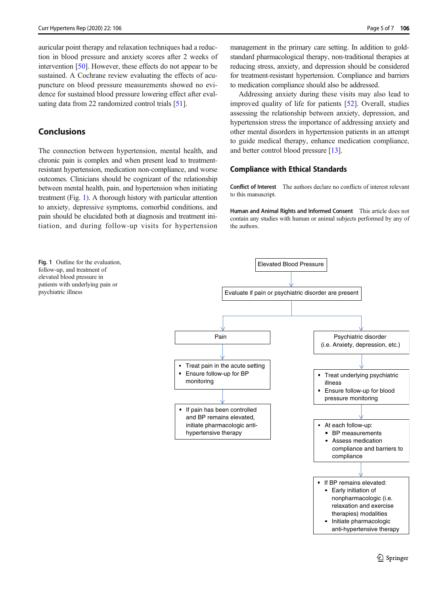auricular point therapy and relaxation techniques had a reduction in blood pressure and anxiety scores after 2 weeks of intervention [[50](#page-8-0)]. However, these effects do not appear to be sustained. A Cochrane review evaluating the effects of acupuncture on blood pressure measurements showed no evidence for sustained blood pressure lowering effect after evaluating data from 22 randomized control trials [[51](#page-8-0)].

## **Conclusions**

The connection between hypertension, mental health, and chronic pain is complex and when present lead to treatmentresistant hypertension, medication non-compliance, and worse outcomes. Clinicians should be cognizant of the relationship between mental health, pain, and hypertension when initiating treatment (Fig. 1). A thorough history with particular attention to anxiety, depressive symptoms, comorbid conditions, and pain should be elucidated both at diagnosis and treatment initiation, and during follow-up visits for hypertension

management in the primary care setting. In addition to goldstandard pharmacological therapy, non-traditional therapies at reducing stress, anxiety, and depression should be considered for treatment-resistant hypertension. Compliance and barriers to medication compliance should also be addressed.

Addressing anxiety during these visits may also lead to improved quality of life for patients [\[52](#page-8-0)]. Overall, studies assessing the relationship between anxiety, depression, and hypertension stress the importance of addressing anxiety and other mental disorders in hypertension patients in an attempt to guide medical therapy, enhance medication compliance, and better control blood pressure [\[13\]](#page-7-0).

#### Compliance with Ethical Standards

Conflict of Interest The authors declare no conflicts of interest relevant to this manuscript.

Human and Animal Rights and Informed Consent This article does not contain any studies with human or animal subjects performed by any of the authors.

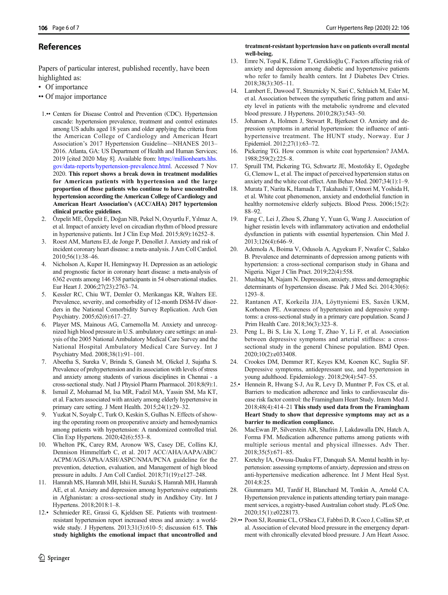## <span id="page-7-0"></span>References

Papers of particular interest, published recently, have been highlighted as:

- Of importance
- •• Of major importance
- 1.•• Centers for Disease Control and Prevention (CDC). Hypertension cascade: hypertension prevalence, treatment and control estimates among US adults aged 18 years and older applying the criteria from the American College of Cardiology and American Heart Association's 2017 Hypertension Guideline—NHANES 2013– 2016. Atlanta, GA: US Department of Health and Human Services; 2019 [cited 2020 May 8]. Available from: [https://millionhearts.hhs.](https://millionhearts.hhs.gov/data-eports/hypertension-revalence.html) [gov/data-reports/hypertension-prevalence.html.](https://millionhearts.hhs.gov/data-eports/hypertension-revalence.html) Accessed 7 Nov 2020. This report shows a break down in treatment modalities for American patients with hypertension and the large proportion of those patients who continue to have uncontrolled hypertension according the American College of Cardiology and American Heart Association's (ACC/AHA) 2017 hypertension clinical practice guidelines.
- 2. Özpelit ME, Özpelit E, Doğan NB, Pekel N, Ozyurtlu F, Yılmaz A, et al. Impact of anxiety level on circadian rhythm of blood pressure in hypertensive patients. Int J Clin Exp Med. 2015;8(9):16252–8.
- 3. Roest AM, Martens EJ, de Jonge P, Denollet J. Anxiety and risk of incident coronary heart disease: a meta-analysis. J Am Coll Cardiol. 2010;56(1):38–46.
- 4. Nicholson A, Kuper H, Hemingway H. Depression as an aetiologic and prognostic factor in coronary heart disease: a meta-analysis of 6362 events among 146 538 participants in 54 observational studies. Eur Heart J. 2006;27(23):2763–74.
- 5. Kessler RC, Chiu WT, Demler O, Merikangas KR, Walters EE. Prevalence, severity, and comorbidity of 12-month DSM-IV disorders in the National Comorbidity Survey Replication. Arch Gen Psychiatry. 2005;62(6):617–27.
- 6. Player MS, Mainous AG, Carnemolla M. Anxiety and unrecognized high blood pressure in U.S. ambulatory care settings: an analysis of the 2005 National Ambulatory Medical Care Survey and the National Hospital Ambulatory Medical Care Survey. Int J Psychiatry Med. 2008;38(1):91–101.
- 7. Abeetha S, Sureka V, Brinda S, Ganesh M, Olickel J, Sujatha S. Prevalence of prehypertension and its association with levels of stress and anxiety among students of various disciplines in Chennai - a cross-sectional study. Natl J Physiol Pharm Pharmacol. 2018;8(9):1.
- 8. Ismail Z, Mohamad M, Isa MR, Fadzil MA, Yassin SM, Ma KT, et al. Factors associated with anxiety among elderly hypertensive in primary care setting. J Ment Health. 2015;24(1):29–32.
- Yuzkat N, Soyalp C, Turk O, Keskin S, Gulhas N. Effects of showing the operating room on preoperative anxiety and hemodynamics among patients with hypertension: A randomized controlled trial. Clin Exp Hypertens. 2020;42(6):553–8.
- 10. Whelton PK, Carey RM, Aronow WS, Casey DE, Collins KJ, Dennison Himmelfarb C, et al. 2017 ACC/AHA/AAPA/ABC/ ACPM/AGS/APhA/ASH/ASPC/NMA/PCNA guideline for the prevention, detection, evaluation, and Management of high blood pressure in adults. J Am Coll Cardiol. 2018;71(19):e127–248.
- 11. Hamrah MS, Hamrah MH, Ishii H, Suzuki S, Hamrah MH, Hamrah AE, et al. Anxiety and depression among hypertensive outpatients in Afghanistan: a cross-sectional study in Andkhoy City. Int J Hypertens. 2018;2018:1–8.
- 12.• Schmieder RE, Grassi G, Kjeldsen SE. Patients with treatmentresistant hypertension report increased stress and anxiety: a worldwide study. J Hypertens. 2013;31(3):610–5; discussion 615. This study highlights the emotional impact that uncontrolled and

#### treatment-resistant hypertension have on patients overall mental well-being.

- 13. Emre N, Topal K, Edirne T, Gereklioğlu Ç. Factors affecting risk of anxiety and depression among diabetic and hypertensive patients who refer to family health centers. Int J Diabetes Dev Ctries. 2018;38(3):305–11.
- 14. Lambert E, Dawood T, Straznicky N, Sari C, Schlaich M, Esler M, et al. Association between the sympathetic firing pattern and anxiety level in patients with the metabolic syndrome and elevated blood pressure. J Hypertens. 2010;28(3):543–50.
- 15. Johansen A, Holmen J, Stewart R, Bjerkeset O. Anxiety and depression symptoms in arterial hypertension: the influence of antihypertensive treatment. The HUNT study, Norway. Eur J Epidemiol. 2012;27(1):63–72.
- 16. Pickering TG. How common is white coat hypertension? JAMA. 1988;259(2):225–8.
- 17. Spruill TM, Pickering TG, Schwartz JE, Mostofsky E, Ogedegbe G, Clemow L, et al. The impact of perceived hypertension status on anxiety and the white coat effect. Ann Behav Med. 2007;34(1):1–9.
- 18. Murata T, Narita K, Hamada T, Takahashi T, Omori M, Yoshida H, et al. White coat phenomenon, anxiety and endothelial function in healthy normotensive elderly subjects. Blood Press. 2006;15(2): 88–92.
- 19. Fang C, Lei J, Zhou S, Zhang Y, Yuan G, Wang J. Association of higher resistin levels with inflammatory activation and endothelial dysfunction in patients with essential hypertension. Chin Med J. 2013;126(4):646–9.
- 20. Ademola A, Boima V, Odusola A, Agyekum F, Nwafor C, Salako B. Prevalence and determinants of depression among patients with hypertension: a cross-sectional comparison study in Ghana and Nigeria. Niger J Clin Pract. 2019;22(4):558.
- 21. Mushtaq M, Najam N. Depression, anxiety, stress and demographic determinants of hypertension disease. Pak J Med Sci. 2014;30(6): 1293–8.
- 22. Rantanen AT, Korkeila JJA, Löyttyniemi ES, Saxén UKM, Korhonen PE. Awareness of hypertension and depressive symptoms: a cross-sectional study in a primary care population. Scand J Prim Health Care. 2018;36(3):323–8.
- 23. Peng L, Bi S, Liu X, Long T, Zhao Y, Li F, et al. Association between depressive symptoms and arterial stiffness: a crosssectional study in the general Chinese population. BMJ Open. 2020;10(2):e033408.
- 24. Crookes DM, Demmer RT, Keyes KM, Koenen KC, Suglia SF. Depressive symptoms, antidepressant use, and hypertension in young adulthood. Epidemiology. 2018;29(4):547–55.
- 25.• Hennein R, Hwang S-J, Au R, Levy D, Muntner P, Fox CS, et al. Barriers to medication adherence and links to cardiovascular disease risk factor control: the Framingham Heart Study. Intern Med J. 2018;48(4):414–21 This study used data from the Framingham Heart Study to show that depressive symptoms may act as a barrier to medication compliance.
- 26. MacEwan JP, Silverstein AR, Shafrin J, Lakdawalla DN, Hatch A, Forma FM. Medication adherence patterns among patients with multiple serious mental and physical illnesses. Adv Ther. 2018;35(5):671–85.
- 27. Kretchy IA, Owusu-Daaku FT, Danquah SA. Mental health in hypertension: assessing symptoms of anxiety, depression and stress on anti-hypertensive medication adherence. Int J Ment Heal Syst. 2014;8:25.
- 28. Giummarra MJ, Tardif H, Blanchard M, Tonkin A, Arnold CA. Hypertension prevalence in patients attending tertiary pain management services, a registry-based Australian cohort study. PLoS One. 2020;15(1):e0228173.
- 29.•• Poon SJ, Roumie CL, O'Shea CJ, Fabbri D, R Coco J, Collins SP, et al. Association of elevated blood pressure in the emergency department with chronically elevated blood pressure. J Am Heart Assoc.